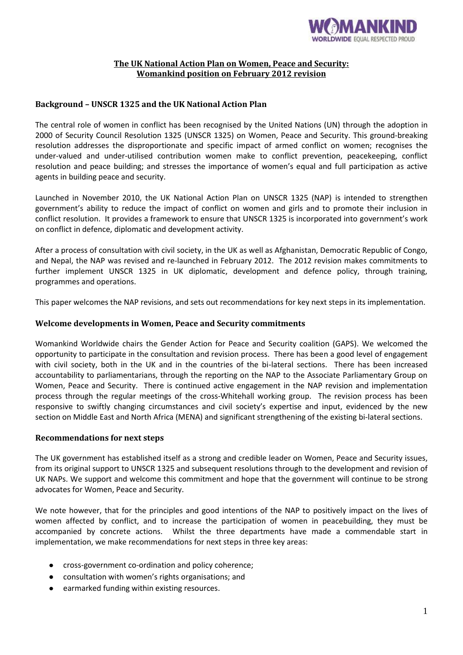

## **The UK National Action Plan on Women, Peace and Security: Womankind position on February 2012 revision**

# **Background – UNSCR 1325 and the UK National Action Plan**

The central role of women in conflict has been recognised by the United Nations (UN) through the adoption in 2000 of Security Council Resolution 1325 (UNSCR 1325) on Women, Peace and Security. This ground-breaking resolution addresses the disproportionate and specific impact of armed conflict on women; recognises the under-valued and under-utilised contribution women make to conflict prevention, peacekeeping, conflict resolution and peace building; and stresses the importance of women's equal and full participation as active agents in building peace and security.

Launched in November 2010, the UK National Action Plan on UNSCR 1325 (NAP) is intended to strengthen government's ability to reduce the impact of conflict on women and girls and to promote their inclusion in conflict resolution. It provides a framework to ensure that UNSCR 1325 is incorporated into government's work on conflict in defence, diplomatic and development activity.

After a process of consultation with civil society, in the UK as well as Afghanistan, Democratic Republic of Congo, and Nepal, the NAP was revised and re-launched in February 2012. The 2012 revision makes commitments to further implement UNSCR 1325 in UK diplomatic, development and defence policy, through training, programmes and operations.

This paper welcomes the NAP revisions, and sets out recommendations for key next steps in its implementation.

### **Welcome developments in Women, Peace and Security commitments**

Womankind Worldwide chairs the Gender Action for Peace and Security coalition (GAPS). We welcomed the opportunity to participate in the consultation and revision process. There has been a good level of engagement with civil society, both in the UK and in the countries of the bi-lateral sections. There has been increased accountability to parliamentarians, through the reporting on the NAP to the Associate Parliamentary Group on Women, Peace and Security. There is continued active engagement in the NAP revision and implementation process through the regular meetings of the cross-Whitehall working group. The revision process has been responsive to swiftly changing circumstances and civil society's expertise and input, evidenced by the new section on Middle East and North Africa (MENA) and significant strengthening of the existing bi-lateral sections.

#### **Recommendations for next steps**

The UK government has established itself as a strong and credible leader on Women, Peace and Security issues, from its original support to UNSCR 1325 and subsequent resolutions through to the development and revision of UK NAPs. We support and welcome this commitment and hope that the government will continue to be strong advocates for Women, Peace and Security.

We note however, that for the principles and good intentions of the NAP to positively impact on the lives of women affected by conflict, and to increase the participation of women in peacebuilding, they must be accompanied by concrete actions. Whilst the three departments have made a commendable start in implementation, we make recommendations for next steps in three key areas:

- cross-government co-ordination and policy coherence;
- consultation with women's rights organisations; and
- earmarked funding within existing resources.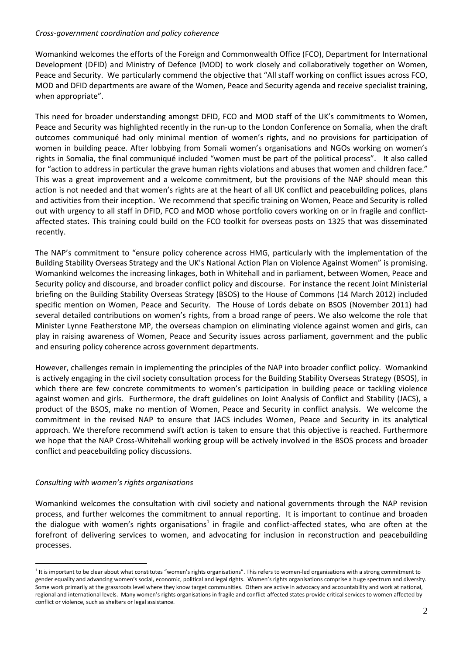#### *Cross-government coordination and policy coherence*

Womankind welcomes the efforts of the Foreign and Commonwealth Office (FCO), Department for International Development (DFID) and Ministry of Defence (MOD) to work closely and collaboratively together on Women, Peace and Security. We particularly commend the objective that "All staff working on conflict issues across FCO, MOD and DFID departments are aware of the Women, Peace and Security agenda and receive specialist training, when appropriate".

This need for broader understanding amongst DFID, FCO and MOD staff of the UK's commitments to Women, Peace and Security was highlighted recently in the run-up to the London Conference on Somalia, when the draft outcomes communiqué had only minimal mention of women's rights, and no provisions for participation of women in building peace. After lobbying from Somali women's organisations and NGOs working on women's rights in Somalia, the final communiqué included "women must be part of the political process". It also called for "action to address in particular the grave human rights violations and abuses that women and children face." This was a great improvement and a welcome commitment, but the provisions of the NAP should mean this action is not needed and that women's rights are at the heart of all UK conflict and peacebuilding polices, plans and activities from their inception. We recommend that specific training on Women, Peace and Security is rolled out with urgency to all staff in DFID, FCO and MOD whose portfolio covers working on or in fragile and conflictaffected states. This training could build on the FCO toolkit for overseas posts on 1325 that was disseminated recently.

The NAP's commitment to "ensure policy coherence across HMG, particularly with the implementation of the Building Stability Overseas Strategy and the UK's National Action Plan on Violence Against Women" is promising. Womankind welcomes the increasing linkages, both in Whitehall and in parliament, between Women, Peace and Security policy and discourse, and broader conflict policy and discourse. For instance the recent Joint Ministerial briefing on the Building Stability Overseas Strategy (BSOS) to the House of Commons (14 March 2012) included specific mention on Women, Peace and Security. The House of Lords debate on BSOS (November 2011) had several detailed contributions on women's rights, from a broad range of peers. We also welcome the role that Minister Lynne Featherstone MP, the overseas champion on eliminating violence against women and girls, can play in raising awareness of Women, Peace and Security issues across parliament, government and the public and ensuring policy coherence across government departments.

However, challenges remain in implementing the principles of the NAP into broader conflict policy. Womankind is actively engaging in the civil society consultation process for the Building Stability Overseas Strategy (BSOS), in which there are few concrete commitments to women's participation in building peace or tackling violence against women and girls. Furthermore, the draft guidelines on Joint Analysis of Conflict and Stability (JACS), a product of the BSOS, make no mention of Women, Peace and Security in conflict analysis. We welcome the commitment in the revised NAP to ensure that JACS includes Women, Peace and Security in its analytical approach. We therefore recommend swift action is taken to ensure that this objective is reached. Furthermore we hope that the NAP Cross-Whitehall working group will be actively involved in the BSOS process and broader conflict and peacebuilding policy discussions.

## *Consulting with women's rights organisations*

<u>.</u>

Womankind welcomes the consultation with civil society and national governments through the NAP revision process, and further welcomes the commitment to annual reporting. It is important to continue and broaden the dialogue with women's rights organisations<sup>1</sup> in fragile and conflict-affected states, who are often at the forefront of delivering services to women, and advocating for inclusion in reconstruction and peacebuilding processes.

<sup>&</sup>lt;sup>1</sup> It is important to be clear about what constitutes "women's rights organisations". This refers to women-led organisations with a strong commitment to gender equality and advancing women's social, economic, political and legal rights. Women's rights organisations comprise a huge spectrum and diversity. Some work primarily at the grassroots level where they know target communities. Others are active in advocacy and accountability and work at national, regional and international levels. Many women's rights organisations in fragile and conflict-affected states provide critical services to women affected by conflict or violence, such as shelters or legal assistance.